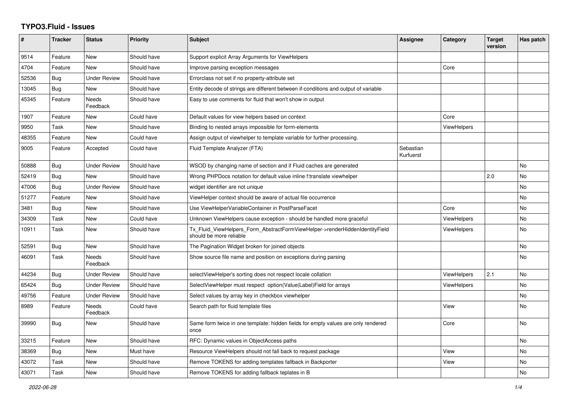## **TYPO3.Fluid - Issues**

| #     | <b>Tracker</b> | <b>Status</b>       | <b>Priority</b> | <b>Subject</b>                                                                                         | Assignee               | Category           | <b>Target</b><br>version | Has patch |
|-------|----------------|---------------------|-----------------|--------------------------------------------------------------------------------------------------------|------------------------|--------------------|--------------------------|-----------|
| 9514  | Feature        | <b>New</b>          | Should have     | Support explicit Array Arguments for ViewHelpers                                                       |                        |                    |                          |           |
| 4704  | Feature        | <b>New</b>          | Should have     | Improve parsing exception messages                                                                     |                        | Core               |                          |           |
| 52536 | Bug            | <b>Under Review</b> | Should have     | Errorclass not set if no property-attribute set                                                        |                        |                    |                          |           |
| 13045 | <b>Bug</b>     | New                 | Should have     | Entity decode of strings are different between if-conditions and output of variable                    |                        |                    |                          |           |
| 45345 | Feature        | Needs<br>Feedback   | Should have     | Easy to use comments for fluid that won't show in output                                               |                        |                    |                          |           |
| 1907  | Feature        | <b>New</b>          | Could have      | Default values for view helpers based on context                                                       |                        | Core               |                          |           |
| 9950  | Task           | New                 | Should have     | Binding to nested arrays impossible for form-elements                                                  |                        | ViewHelpers        |                          |           |
| 48355 | Feature        | <b>New</b>          | Could have      | Assign output of viewhelper to template variable for further processing.                               |                        |                    |                          |           |
| 9005  | Feature        | Accepted            | Could have      | Fluid Template Analyzer (FTA)                                                                          | Sebastian<br>Kurfuerst |                    |                          |           |
| 50888 | <b>Bug</b>     | <b>Under Review</b> | Should have     | WSOD by changing name of section and if Fluid caches are generated                                     |                        |                    |                          | No        |
| 52419 | <b>Bug</b>     | <b>New</b>          | Should have     | Wrong PHPDocs notation for default value inline f:translate viewhelper                                 |                        |                    | 2.0                      | <b>No</b> |
| 47006 | Bug            | Under Review        | Should have     | widget identifier are not unique                                                                       |                        |                    |                          | No        |
| 51277 | Feature        | <b>New</b>          | Should have     | ViewHelper context should be aware of actual file occurrence                                           |                        |                    |                          | <b>No</b> |
| 3481  | <b>Bug</b>     | New                 | Should have     | Use ViewHelperVariableContainer in PostParseFacet                                                      |                        | Core               |                          | <b>No</b> |
| 34309 | Task           | New                 | Could have      | Unknown ViewHelpers cause exception - should be handled more graceful                                  |                        | <b>ViewHelpers</b> |                          | No        |
| 10911 | Task           | <b>New</b>          | Should have     | Tx_Fluid_ViewHelpers_Form_AbstractFormViewHelper->renderHiddenIdentityField<br>should be more reliable |                        | <b>ViewHelpers</b> |                          | <b>No</b> |
| 52591 | Bug            | <b>New</b>          | Should have     | The Pagination Widget broken for joined objects                                                        |                        |                    |                          | <b>No</b> |
| 46091 | Task           | Needs<br>Feedback   | Should have     | Show source file name and position on exceptions during parsing                                        |                        |                    |                          | <b>No</b> |
| 44234 | Bug            | <b>Under Review</b> | Should have     | selectViewHelper's sorting does not respect locale collation                                           |                        | <b>ViewHelpers</b> | 2.1                      | No        |
| 65424 | Bug            | <b>Under Review</b> | Should have     | SelectViewHelper must respect option(Value Label)Field for arrays                                      |                        | ViewHelpers        |                          | No        |
| 49756 | Feature        | Under Review        | Should have     | Select values by array key in checkbox viewhelper                                                      |                        |                    |                          | <b>No</b> |
| 8989  | Feature        | Needs<br>Feedback   | Could have      | Search path for fluid template files                                                                   |                        | View               |                          | No        |
| 39990 | Bug            | New                 | Should have     | Same form twice in one template: hidden fields for empty values are only rendered<br>once              |                        | Core               |                          | <b>No</b> |
| 33215 | Feature        | <b>New</b>          | Should have     | RFC: Dynamic values in ObjectAccess paths                                                              |                        |                    |                          | <b>No</b> |
| 38369 | <b>Bug</b>     | New                 | Must have       | Resource ViewHelpers should not fall back to request package                                           |                        | View               |                          | No        |
| 43072 | Task           | New                 | Should have     | Remove TOKENS for adding templates fallback in Backporter                                              |                        | View               |                          | No        |
| 43071 | Task           | New                 | Should have     | Remove TOKENS for adding fallback teplates in B                                                        |                        |                    |                          | No        |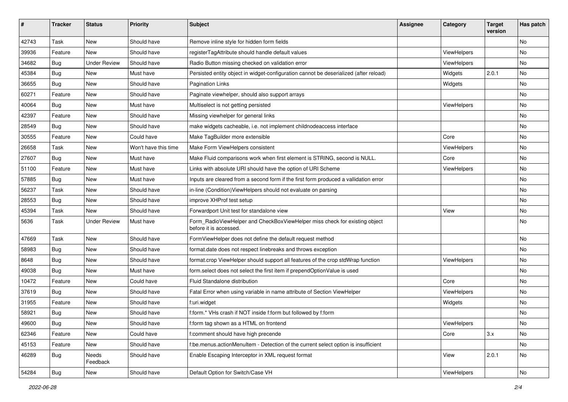| #     | <b>Tracker</b> | <b>Status</b>       | <b>Priority</b>      | Subject                                                                                              | <b>Assignee</b> | Category    | <b>Target</b><br>version | Has patch |
|-------|----------------|---------------------|----------------------|------------------------------------------------------------------------------------------------------|-----------------|-------------|--------------------------|-----------|
| 42743 | Task           | New                 | Should have          | Remove inline style for hidden form fields                                                           |                 |             |                          | <b>No</b> |
| 39936 | Feature        | New                 | Should have          | registerTagAttribute should handle default values                                                    |                 | ViewHelpers |                          | No        |
| 34682 | Bug            | <b>Under Review</b> | Should have          | Radio Button missing checked on validation error                                                     |                 | ViewHelpers |                          | No        |
| 45384 | Bug            | New                 | Must have            | Persisted entity object in widget-configuration cannot be deserialized (after reload)                |                 | Widgets     | 2.0.1                    | No        |
| 36655 | Bug            | New                 | Should have          | <b>Pagination Links</b>                                                                              |                 | Widgets     |                          | No        |
| 60271 | Feature        | New                 | Should have          | Paginate viewhelper, should also support arrays                                                      |                 |             |                          | No        |
| 40064 | Bug            | New                 | Must have            | Multiselect is not getting persisted                                                                 |                 | ViewHelpers |                          | No        |
| 42397 | Feature        | New                 | Should have          | Missing viewhelper for general links                                                                 |                 |             |                          | No        |
| 28549 | Bug            | New                 | Should have          | make widgets cacheable, i.e. not implement childnodeaccess interface                                 |                 |             |                          | No        |
| 30555 | Feature        | New                 | Could have           | Make TagBuilder more extensible                                                                      |                 | Core        |                          | No        |
| 26658 | Task           | <b>New</b>          | Won't have this time | Make Form ViewHelpers consistent                                                                     |                 | ViewHelpers |                          | <b>No</b> |
| 27607 | Bug            | New                 | Must have            | Make Fluid comparisons work when first element is STRING, second is NULL.                            |                 | Core        |                          | No        |
| 51100 | Feature        | <b>New</b>          | Must have            | Links with absolute URI should have the option of URI Scheme                                         |                 | ViewHelpers |                          | No        |
| 57885 | Bug            | New                 | Must have            | Inputs are cleared from a second form if the first form produced a vallidation error                 |                 |             |                          | No        |
| 56237 | Task           | New                 | Should have          | in-line (Condition) View Helpers should not evaluate on parsing                                      |                 |             |                          | No        |
| 28553 | Bug            | New                 | Should have          | improve XHProf test setup                                                                            |                 |             |                          | No        |
| 45394 | Task           | New                 | Should have          | Forwardport Unit test for standalone view                                                            |                 | View        |                          | No        |
| 5636  | Task           | <b>Under Review</b> | Must have            | Form_RadioViewHelper and CheckBoxViewHelper miss check for existing object<br>before it is accessed. |                 |             |                          | <b>No</b> |
| 47669 | Task           | New                 | Should have          | FormViewHelper does not define the default request method                                            |                 |             |                          | No        |
| 58983 | Bug            | New                 | Should have          | format.date does not respect linebreaks and throws exception                                         |                 |             |                          | No        |
| 8648  | Bug            | New                 | Should have          | format.crop ViewHelper should support all features of the crop stdWrap function                      |                 | ViewHelpers |                          | <b>No</b> |
| 49038 | Bug            | New                 | Must have            | form.select does not select the first item if prependOptionValue is used                             |                 |             |                          | No        |
| 10472 | Feature        | New                 | Could have           | Fluid Standalone distribution                                                                        |                 | Core        |                          | <b>No</b> |
| 37619 | Bug            | New                 | Should have          | Fatal Error when using variable in name attribute of Section ViewHelper                              |                 | ViewHelpers |                          | No        |
| 31955 | Feature        | New                 | Should have          | f:uri.widget                                                                                         |                 | Widgets     |                          | No        |
| 58921 | <b>Bug</b>     | New                 | Should have          | f:form.* VHs crash if NOT inside f:form but followed by f:form                                       |                 |             |                          | No        |
| 49600 | Bug            | New                 | Should have          | f:form tag shown as a HTML on frontend                                                               |                 | ViewHelpers |                          | No        |
| 62346 | Feature        | New                 | Could have           | f:comment should have high precende                                                                  |                 | Core        | 3.x                      | No        |
| 45153 | Feature        | New                 | Should have          | f:be.menus.actionMenuItem - Detection of the current select option is insufficient                   |                 |             |                          | No        |
| 46289 | Bug            | Needs<br>Feedback   | Should have          | Enable Escaping Interceptor in XML request format                                                    |                 | View        | 2.0.1                    | No        |
| 54284 | <b>Bug</b>     | New                 | Should have          | Default Option for Switch/Case VH                                                                    |                 | ViewHelpers |                          | No        |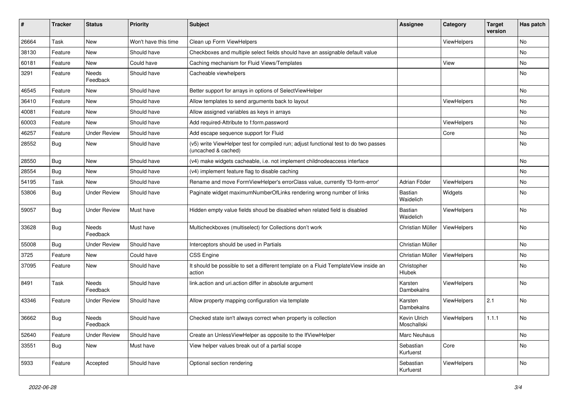| #     | <b>Tracker</b> | <b>Status</b>       | <b>Priority</b>      | Subject                                                                                                     | <b>Assignee</b>             | Category           | <b>Target</b><br>version | Has patch |
|-------|----------------|---------------------|----------------------|-------------------------------------------------------------------------------------------------------------|-----------------------------|--------------------|--------------------------|-----------|
| 26664 | Task           | New                 | Won't have this time | Clean up Form ViewHelpers                                                                                   |                             | ViewHelpers        |                          | <b>No</b> |
| 38130 | Feature        | New                 | Should have          | Checkboxes and multiple select fields should have an assignable default value                               |                             |                    |                          | No        |
| 60181 | Feature        | New                 | Could have           | Caching mechanism for Fluid Views/Templates                                                                 |                             | View               |                          | No        |
| 3291  | Feature        | Needs<br>Feedback   | Should have          | Cacheable viewhelpers                                                                                       |                             |                    |                          | No        |
| 46545 | Feature        | New                 | Should have          | Better support for arrays in options of SelectViewHelper                                                    |                             |                    |                          | <b>No</b> |
| 36410 | Feature        | New                 | Should have          | Allow templates to send arguments back to layout                                                            |                             | ViewHelpers        |                          | No        |
| 40081 | Feature        | <b>New</b>          | Should have          | Allow assigned variables as keys in arrays                                                                  |                             |                    |                          | No        |
| 60003 | Feature        | New                 | Should have          | Add required-Attribute to f:form.password                                                                   |                             | ViewHelpers        |                          | No        |
| 46257 | Feature        | <b>Under Review</b> | Should have          | Add escape sequence support for Fluid                                                                       |                             | Core               |                          | No        |
| 28552 | Bug            | New                 | Should have          | (v5) write ViewHelper test for compiled run; adjust functional test to do two passes<br>(uncached & cached) |                             |                    |                          | No        |
| 28550 | Bug            | New                 | Should have          | (v4) make widgets cacheable, i.e. not implement childnodeaccess interface                                   |                             |                    |                          | No        |
| 28554 | Bug            | <b>New</b>          | Should have          | (v4) implement feature flag to disable caching                                                              |                             |                    |                          | No        |
| 54195 | Task           | New                 | Should have          | Rename and move FormViewHelper's errorClass value, currently 'f3-form-error'                                | Adrian Föder                | ViewHelpers        |                          | No        |
| 53806 | Bug            | <b>Under Review</b> | Should have          | Paginate widget maximumNumberOfLinks rendering wrong number of links                                        | Bastian<br>Waidelich        | Widgets            |                          | No        |
| 59057 | Bug            | <b>Under Review</b> | Must have            | Hidden empty value fields shoud be disabled when related field is disabled                                  | <b>Bastian</b><br>Waidelich | ViewHelpers        |                          | <b>No</b> |
| 33628 | <b>Bug</b>     | Needs<br>Feedback   | Must have            | Multicheckboxes (multiselect) for Collections don't work                                                    | Christian Müller            | ViewHelpers        |                          | <b>No</b> |
| 55008 | Bug            | <b>Under Review</b> | Should have          | Interceptors should be used in Partials                                                                     | Christian Müller            |                    |                          | No        |
| 3725  | Feature        | New                 | Could have           | <b>CSS Engine</b>                                                                                           | Christian Müller            | ViewHelpers        |                          | No        |
| 37095 | Feature        | New                 | Should have          | It should be possible to set a different template on a Fluid TemplateView inside an<br>action               | Christopher<br>Hlubek       |                    |                          | <b>No</b> |
| 8491  | Task           | Needs<br>Feedback   | Should have          | link.action and uri.action differ in absolute argument                                                      | Karsten<br>Dambekalns       | ViewHelpers        |                          | <b>No</b> |
| 43346 | Feature        | Under Review        | Should have          | Allow property mapping configuration via template                                                           | Karsten<br>Dambekalns       | ViewHelpers        | 2.1                      | No        |
| 36662 | Bug            | Needs<br>Feedback   | Should have          | Checked state isn't always correct when property is collection                                              | Kevin Ulrich<br>Moschallski | <b>ViewHelpers</b> | 1.1.1                    | No        |
| 52640 | Feature        | <b>Under Review</b> | Should have          | Create an UnlessViewHelper as opposite to the IfViewHelper                                                  | Marc Neuhaus                |                    |                          | No        |
| 33551 | Bug            | New                 | Must have            | View helper values break out of a partial scope                                                             | Sebastian<br>Kurfuerst      | Core               |                          | No        |
| 5933  | Feature        | Accepted            | Should have          | Optional section rendering                                                                                  | Sebastian<br>Kurfuerst      | ViewHelpers        |                          | No        |